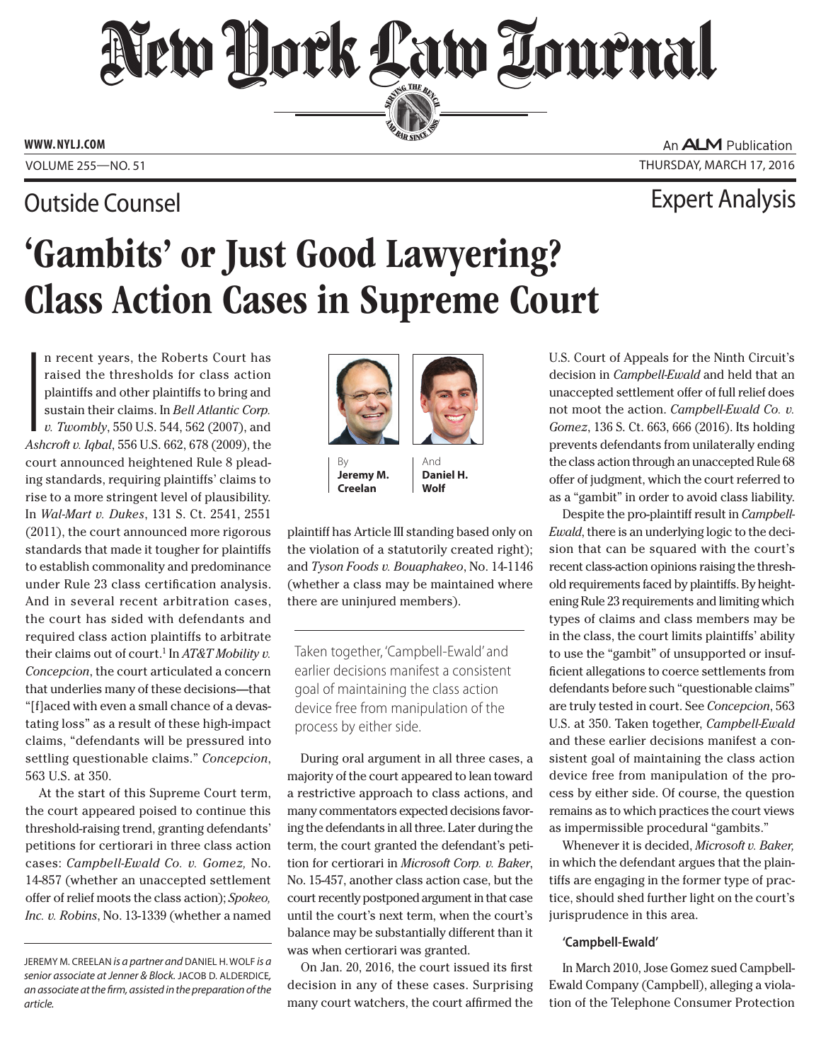# New Hork Law Tournal SERVING THE BEN

**ED BAR SINCE 1888** 

**www. NYLJ.com**

## Outside Counsel

An **ALM** Publication Volume 255—NO. 51 Thursday, March 17, 2016

Expert Analysis

# 'Gambits' or Just Good Lawyering? Class Action Cases in Supreme Court

|<br>|<br>Ash n recent years, the Roberts Court has raised the thresholds for class action plaintiffs and other plaintiffs to bring and sustain their claims. In *[Bell Atlantic Corp.](CITE: 550 U.S. 544) [v. Twombly](CITE: 550 U.S. 544)*, 550 U.S. 544, 562 (2007), and *Ashcroft v. Iqbal*, 556 U.S. 662, 678 (2009), the court announced heightened Rule 8 pleading standards, requiring plaintiffs' claims to rise to a more stringent level of plausibility. In *[Wal-Mart v. Dukes](CITE: 131 S. Ct. 2541)*, 131 S. Ct. 2541, 2551 (2011), the court announced more rigorous standards that made it tougher for plaintiffs to establish commonality and predominance under Rule 23 class certification analysis. And in several recent arbitration cases, the court has sided with defendants and required class action plaintiffs to arbitrate their claims out of court.1 In *[AT&T Mobility v.](Cite: 563 U.S. 333 ) [Concepcion](Cite: 563 U.S. 333 )*, the court articulated a concern that underlies many of these decisions—that "[f]aced with even a small chance of a devastating loss" as a result of these high-impact claims, "defendants will be pressured into settling questionable claims." *Concepcion*, 563 U.S. at 350.

At the start of this Supreme Court term, the court appeared poised to continue this threshold-raising trend, granting defendants' petitions for certiorari in three class action cases: *Campbell-Ewald Co. v. Gomez,* No. 14-857 (whether an unaccepted settlement offer of relief moots the class action); *Spokeo, Inc. v. Robins*, No. 13-1339 (whether a named



By **Jeremy M. Creelan**

And **Daniel H. Wolf**

plaintiff has Article III standing based only on the violation of a statutorily created right); and *Tyson Foods v. Bouaphakeo*, No. 14-1146 (whether a class may be maintained where there are uninjured members).

Taken together, 'Campbell-Ewald' and earlier decisions manifest a consistent goal of maintaining the class action device free from manipulation of the process by either side.

During oral argument in all three cases, a majority of the court appeared to lean toward a restrictive approach to class actions, and many commentators expected decisions favoring the defendants in all three. Later during the term, the court granted the defendant's petition for certiorari in *Microsoft Corp. v. Baker*, No. 15-457, another class action case, but the court recently postponed argument in that case until the court's next term, when the court's balance may be substantially different than it was when certiorari was granted.

On Jan. 20, 2016, the court issued its first decision in any of these cases. Surprising many court watchers, the court affirmed the

U.S. Court of Appeals for the Ninth Circuit's decision in *Campbell-Ewald* and held that an unaccepted settlement offer of full relief does not moot the action. *[Campbell-Ewald Co. v.](CITE: 136 S. Ct. 663) [Gomez](CITE: 136 S. Ct. 663)*, 136 S. Ct. 663, 666 (2016). Its holding prevents defendants from unilaterally ending the class action through an unaccepted Rule 68 offer of judgment, which the court referred to as a "gambit" in order to avoid class liability.

Despite the pro-plaintiff result in *Campbell-Ewald*, there is an underlying logic to the decision that can be squared with the court's recent class-action opinions raising the threshold requirements faced by plaintiffs. By heightening Rule 23 requirements and limiting which types of claims and class members may be in the class, the court limits plaintiffs' ability to use the "gambit" of unsupported or insufficient allegations to coerce settlements from defendants before such "questionable claims" are truly tested in court. See *Concepcion*, 563 U.S. at 350. Taken together, *Campbell-Ewald* and these earlier decisions manifest a consistent goal of maintaining the class action device free from manipulation of the process by either side. Of course, the question remains as to which practices the court views as impermissible procedural "gambits."

Whenever it is decided, *Microsoft v. Baker,* in which the defendant argues that the plaintiffs are engaging in the former type of practice, should shed further light on the court's jurisprudence in this area.

### **'Campbell-Ewald'**

In March 2010, Jose Gomez sued Campbell-Ewald Company (Campbell), alleging a violation of the Telephone Consumer Protection

Jeremy M. Creelan *is a partner and* Daniel H. Wolf *is a senior associate at Jenner & Block.* JACOB D. ALDERDICE, *an associate at the firm, assisted in the preparation of the article.*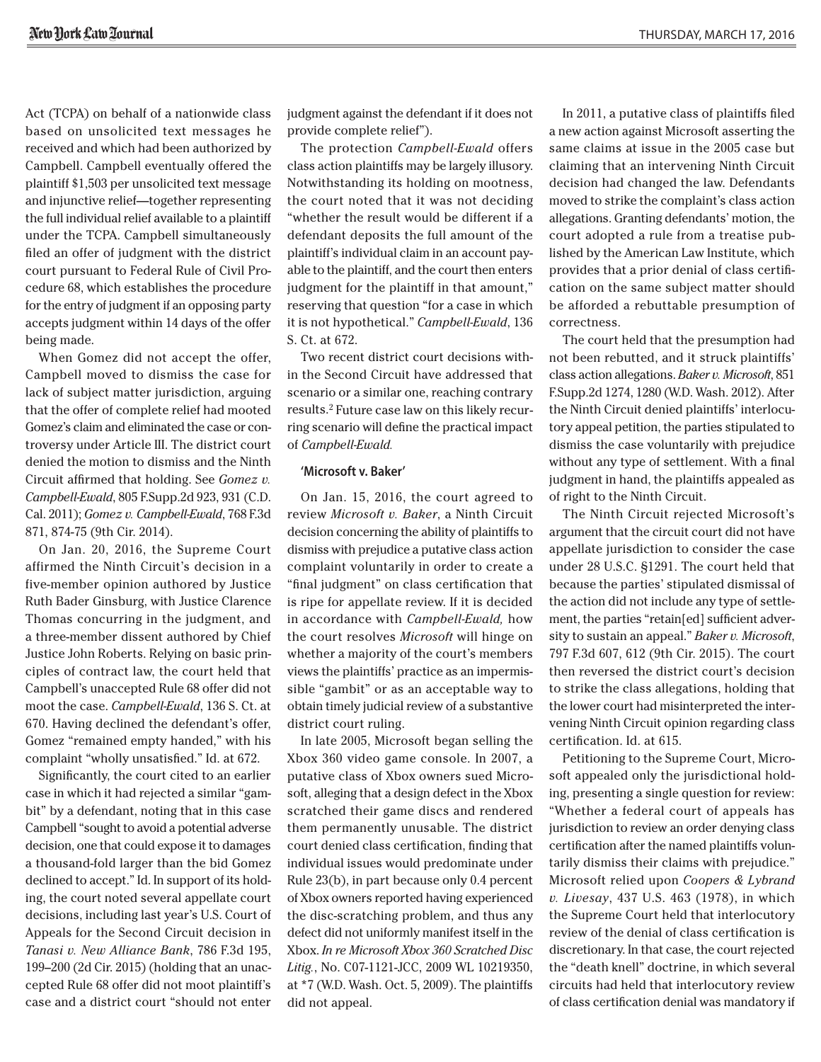Act (TCPA) on behalf of a nationwide class based on unsolicited text messages he received and which had been authorized by Campbell. Campbell eventually offered the plaintiff \$1,503 per unsolicited text message and injunctive relief—together representing the full individual relief available to a plaintiff under the TCPA. Campbell simultaneously filed an offer of judgment with the district court pursuant to Federal Rule of Civil Procedure 68, which establishes the procedure for the entry of judgment if an opposing party accepts judgment within 14 days of the offer being made.

When Gomez did not accept the offer, Campbell moved to dismiss the case for lack of subject matter jurisdiction, arguing that the offer of complete relief had mooted Gomez's claim and eliminated the case or controversy under Article III. The district court denied the motion to dismiss and the Ninth Circuit affirmed that holding. See *[Gomez v.](Cite: 805 F. Supp. 2d 923) [Campbell-Ewald](Cite: 805 F. Supp. 2d 923)*, 805 F.Supp.2d 923, 931 (C.D. Cal. 2011); *Gomez v. Campbell-Ewald*, 768 F.3d 871, 874-75 (9th Cir. 2014).

On Jan. 20, 2016, the Supreme Court affirmed the Ninth Circuit's decision in a five-member opinion authored by Justice Ruth Bader Ginsburg, with Justice Clarence Thomas concurring in the judgment, and a three-member dissent authored by Chief Justice John Roberts. Relying on basic principles of contract law, the court held that Campbell's unaccepted Rule 68 offer did not moot the case. *Campbell-Ewald*, 136 S. Ct. at 670. Having declined the defendant's offer, Gomez "remained empty handed," with his complaint "wholly unsatisfied." Id. at 672.

Significantly, the court cited to an earlier case in which it had rejected a similar "gambit" by a defendant, noting that in this case Campbell "sought to avoid a potential adverse decision, one that could expose it to damages a thousand-fold larger than the bid Gomez declined to accept." Id. In support of its holding, the court noted several appellate court decisions, including last year's U.S. Court of Appeals for the Second Circuit decision in *[Tanasi v. New Alliance Bank](Cite: 786 F.3d 195)*, 786 F.3d 195, 199–200 (2d Cir. 2015) (holding that an unaccepted Rule 68 offer did not moot plaintiff's case and a district court "should not enter judgment against the defendant if it does not provide complete relief").

The protection *Campbell-Ewald* offers class action plaintiffs may be largely illusory. Notwithstanding its holding on mootness, the court noted that it was not deciding "whether the result would be different if a defendant deposits the full amount of the plaintiff's individual claim in an account payable to the plaintiff, and the court then enters judgment for the plaintiff in that amount," reserving that question "for a case in which it is not hypothetical." *Campbell-Ewald*, 136 S. Ct. at 672.

Two recent district court decisions within the Second Circuit have addressed that scenario or a similar one, reaching contrary results.2 Future case law on this likely recurring scenario will define the practical impact of *Campbell-Ewald.*

### **'Microsoft v. Baker'**

On Jan. 15, 2016, the court agreed to review *Microsoft v. Baker*, a Ninth Circuit decision concerning the ability of plaintiffs to dismiss with prejudice a putative class action complaint voluntarily in order to create a "final judgment" on class certification that is ripe for appellate review. If it is decided in accordance with *Campbell-Ewald,* how the court resolves *Microsoft* will hinge on whether a majority of the court's members views the plaintiffs' practice as an impermissible "gambit" or as an acceptable way to obtain timely judicial review of a substantive district court ruling.

In late 2005, Microsoft began selling the Xbox 360 video game console. In 2007, a putative class of Xbox owners sued Microsoft, alleging that a design defect in the Xbox scratched their game discs and rendered them permanently unusable. The district court denied class certification, finding that individual issues would predominate under Rule 23(b), in part because only 0.4 percent of Xbox owners reported having experienced the disc-scratching problem, and thus any defect did not uniformly manifest itself in the Xbox. *[In re Microsoft Xbox 360 Scratched Disc](Cite: No. C07-1121-JCC)  [Litig.](Cite: No. C07-1121-JCC)*, No. C07-1121-JCC, 2009 WL 10219350, at \*7 (W.D. Wash. Oct. 5, 2009). The plaintiffs did not appeal.

In 2011, a putative class of plaintiffs filed a new action against Microsoft asserting the same claims at issue in the 2005 case but claiming that an intervening Ninth Circuit decision had changed the law. Defendants moved to strike the complaint's class action allegations. Granting defendants' motion, the court adopted a rule from a treatise published by the American Law Institute, which provides that a prior denial of class certification on the same subject matter should be afforded a rebuttable presumption of correctness.

The court held that the presumption had not been rebutted, and it struck plaintiffs' class action allegations. *[Baker v. Microsoft](Cite: 851 F. Supp. 2d 1274)*, 851 F.Supp.2d 1274, 1280 (W.D. Wash. 2012). After the Ninth Circuit denied plaintiffs' interlocutory appeal petition, the parties stipulated to dismiss the case voluntarily with prejudice without any type of settlement. With a final judgment in hand, the plaintiffs appealed as of right to the Ninth Circuit.

The Ninth Circuit rejected Microsoft's argument that the circuit court did not have appellate jurisdiction to consider the case under 28 U.S.C. §1291. The court held that because the parties' stipulated dismissal of the action did not include any type of settlement, the parties "retain[ed] sufficient adversity to sustain an appeal." *[Baker v. Microsoft](Citew: 797 F.3d 607)*, 797 F.3d 607, 612 (9th Cir. 2015). The court then reversed the district court's decision to strike the class allegations, holding that the lower court had misinterpreted the intervening Ninth Circuit opinion regarding class certification. Id. at 615.

Petitioning to the Supreme Court, Microsoft appealed only the jurisdictional holding, presenting a single question for review: "Whether a federal court of appeals has jurisdiction to review an order denying class certification after the named plaintiffs voluntarily dismiss their claims with prejudice." Microsoft relied upon *[Coopers & Lybrand](Cite: 437 U.S. 463)  [v. Livesay](Cite: 437 U.S. 463)*, 437 U.S. 463 (1978), in which the Supreme Court held that interlocutory review of the denial of class certification is discretionary. In that case, the court rejected the "death knell" doctrine, in which several circuits had held that interlocutory review of class certification denial was mandatory if